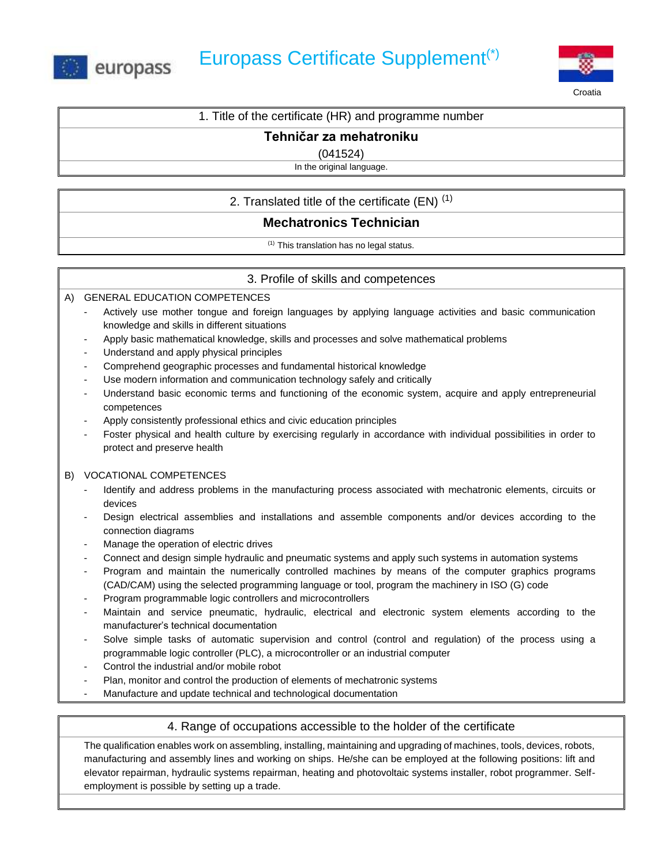



Croatia

# 1. Title of the certificate (HR) and programme number

## **Tehničar za mehatroniku**

(041524)

In the original language.

2. Translated title of the certificate  $(EN)^{(1)}$ 

# **Mechatronics Technician**

(1) This translation has no legal status.

# 3. Profile of skills and competences

A) GENERAL EDUCATION COMPETENCES

- Actively use mother tongue and foreign languages by applying language activities and basic communication knowledge and skills in different situations
- Apply basic mathematical knowledge, skills and processes and solve mathematical problems
- Understand and apply physical principles
- Comprehend geographic processes and fundamental historical knowledge
- Use modern information and communication technology safely and critically
- Understand basic economic terms and functioning of the economic system, acquire and apply entrepreneurial competences
- Apply consistently professional ethics and civic education principles
- Foster physical and health culture by exercising regularly in accordance with individual possibilities in order to protect and preserve health

### B) VOCATIONAL COMPETENCES

- Identify and address problems in the manufacturing process associated with mechatronic elements, circuits or devices
- Design electrical assemblies and installations and assemble components and/or devices according to the connection diagrams
- Manage the operation of electric drives
- Connect and design simple hydraulic and pneumatic systems and apply such systems in automation systems
- Program and maintain the numerically controlled machines by means of the computer graphics programs (CAD/CAM) using the selected programming language or tool, program the machinery in ISO (G) code
- Program programmable logic controllers and microcontrollers
- Maintain and service pneumatic, hydraulic, electrical and electronic system elements according to the manufacturer's technical documentation
- Solve simple tasks of automatic supervision and control (control and regulation) of the process using a programmable logic controller (PLC), a microcontroller or an industrial computer
- Control the industrial and/or mobile robot
- Plan, monitor and control the production of elements of mechatronic systems
- Manufacture and update technical and technological documentation

### 4. Range of occupations accessible to the holder of the certificate

The qualification enables work on assembling, installing, maintaining and upgrading of machines, tools, devices, robots, manufacturing and assembly lines and working on ships. He/she can be employed at the following positions: lift and elevator repairman, hydraulic systems repairman, heating and photovoltaic systems installer, robot programmer. Selfemployment is possible by setting up a trade.